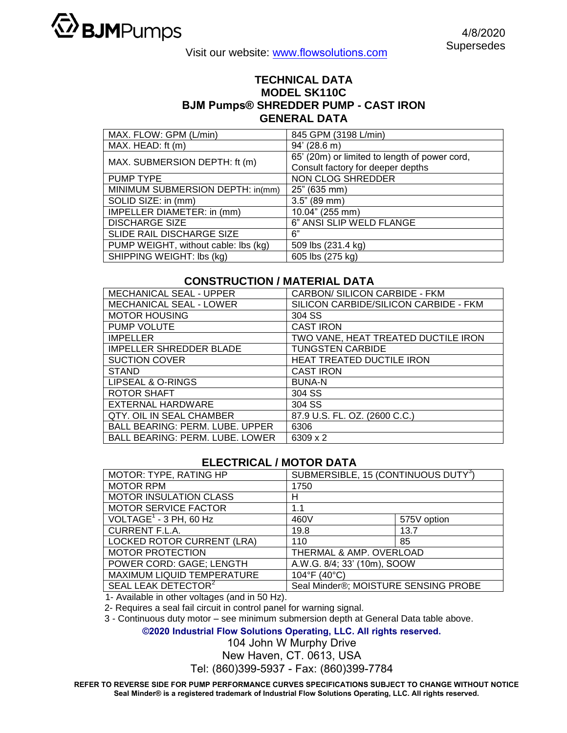

Visit our website: www.flowsolutions.com

## **TECHNICAL DATA MODEL SK110C BJM Pumps® SHREDDER PUMP - CAST IRON GENERAL DATA**

| MAX. FLOW: GPM (L/min)               | 845 GPM (3198 L/min)                          |  |
|--------------------------------------|-----------------------------------------------|--|
| MAX. HEAD: ft (m)                    | 94' (28.6 m)                                  |  |
| MAX. SUBMERSION DEPTH: ft (m)        | 65' (20m) or limited to length of power cord, |  |
|                                      | Consult factory for deeper depths             |  |
| PUMP TYPE                            | NON CLOG SHREDDER                             |  |
| MINIMUM SUBMERSION DEPTH: in(mm)     | 25" (635 mm)                                  |  |
| SOLID SIZE: in (mm)                  | 3.5" (89 mm)                                  |  |
| IMPELLER DIAMETER: in (mm)           | 10.04" (255 mm)                               |  |
| <b>DISCHARGE SIZE</b>                | 6" ANSI SLIP WELD FLANGE                      |  |
| SLIDE RAIL DISCHARGE SIZE            | 6"                                            |  |
| PUMP WEIGHT, without cable: lbs (kg) | 509 lbs (231.4 kg)                            |  |
| SHIPPING WEIGHT: Ibs (kg)            | 605 lbs (275 kg)                              |  |

## **CONSTRUCTION / MATERIAL DATA**

| <b>MECHANICAL SEAL - UPPER</b>         | CARBON/ SILICON CARBIDE - FKM         |  |
|----------------------------------------|---------------------------------------|--|
| MECHANICAL SEAL - LOWER                | SILICON CARBIDE/SILICON CARBIDE - FKM |  |
| <b>MOTOR HOUSING</b>                   | 304 SS                                |  |
| <b>PUMP VOLUTE</b>                     | <b>CAST IRON</b>                      |  |
| <b>IMPELLER</b>                        | TWO VANE, HEAT TREATED DUCTILE IRON   |  |
| <b>IMPELLER SHREDDER BLADE</b>         | <b>TUNGSTEN CARBIDE</b>               |  |
| <b>SUCTION COVER</b>                   | <b>HEAT TREATED DUCTILE IRON</b>      |  |
| <b>STAND</b>                           | <b>CAST IRON</b>                      |  |
| LIPSEAL & O-RINGS                      | <b>BUNA-N</b>                         |  |
| <b>ROTOR SHAFT</b>                     | 304 SS                                |  |
| EXTERNAL HARDWARE                      | 304 SS                                |  |
| <b>QTY. OIL IN SEAL CHAMBER</b>        | 87.9 U.S. FL. OZ. (2600 C.C.)         |  |
| <b>BALL BEARING: PERM. LUBE. UPPER</b> | 6306                                  |  |
| <b>BALL BEARING: PERM. LUBE. LOWER</b> | 6309 x 2                              |  |

## **ELECTRICAL / MOTOR DATA**

| MOTOR: TYPE, RATING HP            | SUBMERSIBLE, 15 (CONTINUOUS DUTY <sup>3</sup> ) |             |  |
|-----------------------------------|-------------------------------------------------|-------------|--|
| <b>MOTOR RPM</b>                  | 1750                                            |             |  |
| <b>MOTOR INSULATION CLASS</b>     | н                                               |             |  |
| MOTOR SERVICE FACTOR              | 1.1                                             |             |  |
| VOLTAGE $1$ - 3 PH, 60 Hz         | 460V                                            | 575V option |  |
| <b>CURRENT F.L.A.</b>             | 19.8                                            | 13.7        |  |
| <b>LOCKED ROTOR CURRENT (LRA)</b> | 110                                             | 85          |  |
| <b>MOTOR PROTECTION</b>           | THERMAL & AMP. OVERLOAD                         |             |  |
| POWER CORD: GAGE; LENGTH          | A.W.G. 8/4; 33' (10m), SOOW                     |             |  |
| MAXIMUM LIQUID TEMPERATURE        | 104°F (40°C)                                    |             |  |
| SEAL LEAK DETECTOR <sup>2</sup>   | Seal Minder®; MOISTURE SENSING PROBE            |             |  |

1- Available in other voltages (and in 50 Hz).

2- Requires a seal fail circuit in control panel for warning signal.

3 - Continuous duty motor – see minimum submersion depth at General Data table above.

**©2020 Industrial Flow Solutions Operating, LLC. All rights reserved.**

104 John W Murphy Drive

New Haven, CT. 0613, USA

Tel: (860)399-5937 - Fax: (860)399-7784

**REFER TO REVERSE SIDE FOR PUMP PERFORMANCE CURVES SPECIFICATIONS SUBJECT TO CHANGE WITHOUT NOTICE Seal Minder® is a registered trademark of Industrial Flow Solutions Operating, LLC. All rights reserved.**